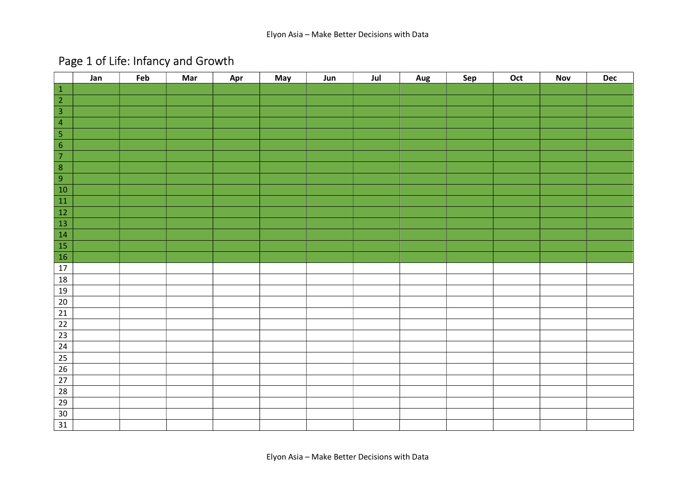## Page 1 of Life: Infancy and Growth

|                         | Jan | Feb | Mar | Apr | May | Jun | Jul | Aug | Sep | Oct | Nov | <b>Dec</b> |
|-------------------------|-----|-----|-----|-----|-----|-----|-----|-----|-----|-----|-----|------------|
| $\,$ 1 $\,$             |     |     |     |     |     |     |     |     |     |     |     |            |
| $\overline{2}$          |     |     |     |     |     |     |     |     |     |     |     |            |
|                         |     |     |     |     |     |     |     |     |     |     |     |            |
| $\overline{4}$          |     |     |     |     |     |     |     |     |     |     |     |            |
| $\overline{5}$          |     |     |     |     |     |     |     |     |     |     |     |            |
| $\overline{6}$          |     |     |     |     |     |     |     |     |     |     |     |            |
| $\overline{7}$          |     |     |     |     |     |     |     |     |     |     |     |            |
| $\overline{\mathbf{8}}$ |     |     |     |     |     |     |     |     |     |     |     |            |
| $\overline{9}$          |     |     |     |     |     |     |     |     |     |     |     |            |
| $10$                    |     |     |     |     |     |     |     |     |     |     |     |            |
| ${\bf 11}$              |     |     |     |     |     |     |     |     |     |     |     |            |
| $\overline{12}$         |     |     |     |     |     |     |     |     |     |     |     |            |
| 13                      |     |     |     |     |     |     |     |     |     |     |     |            |
| 14                      |     |     |     |     |     |     |     |     |     |     |     |            |
| $\overline{15}$         |     |     |     |     |     |     |     |     |     |     |     |            |
| 16                      |     |     |     |     |     |     |     |     |     |     |     |            |
| 17                      |     |     |     |     |     |     |     |     |     |     |     |            |
| 18                      |     |     |     |     |     |     |     |     |     |     |     |            |
| 19                      |     |     |     |     |     |     |     |     |     |     |     |            |
| $\overline{20}$         |     |     |     |     |     |     |     |     |     |     |     |            |
| 21                      |     |     |     |     |     |     |     |     |     |     |     |            |
| $\overline{22}$         |     |     |     |     |     |     |     |     |     |     |     |            |
| 23                      |     |     |     |     |     |     |     |     |     |     |     |            |
| 24                      |     |     |     |     |     |     |     |     |     |     |     |            |
| $\overline{25}$         |     |     |     |     |     |     |     |     |     |     |     |            |
| 26                      |     |     |     |     |     |     |     |     |     |     |     |            |
| 27                      |     |     |     |     |     |     |     |     |     |     |     |            |
| 28                      |     |     |     |     |     |     |     |     |     |     |     |            |
| 29                      |     |     |     |     |     |     |     |     |     |     |     |            |
| 30                      |     |     |     |     |     |     |     |     |     |     |     |            |
| $\overline{31}$         |     |     |     |     |     |     |     |     |     |     |     |            |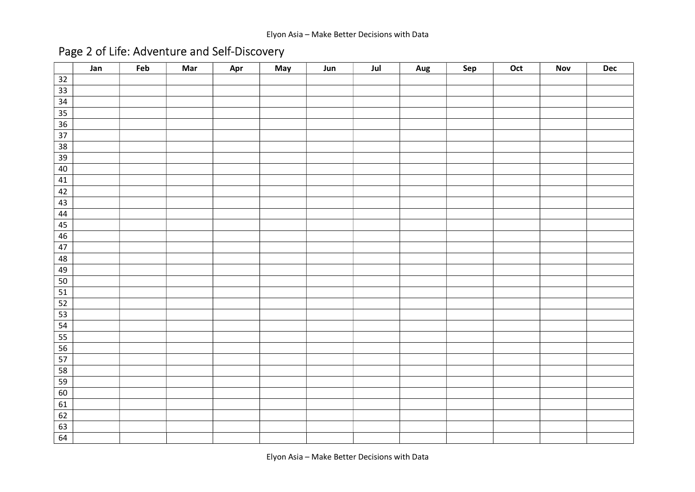## Page 2 of Life: Adventure and Self-Discovery

|                 | Jan | Feb | Mar | Apr | May | Jun | Jul | <b>Aug</b> | Sep | Oct | <b>Nov</b> | $\mathop{\mathsf{Dec}}$ |
|-----------------|-----|-----|-----|-----|-----|-----|-----|------------|-----|-----|------------|-------------------------|
| 32              |     |     |     |     |     |     |     |            |     |     |            |                         |
| $\overline{33}$ |     |     |     |     |     |     |     |            |     |     |            |                         |
| 34              |     |     |     |     |     |     |     |            |     |     |            |                         |
| 35              |     |     |     |     |     |     |     |            |     |     |            |                         |
| 36              |     |     |     |     |     |     |     |            |     |     |            |                         |
| $\overline{37}$ |     |     |     |     |     |     |     |            |     |     |            |                         |
| $\overline{38}$ |     |     |     |     |     |     |     |            |     |     |            |                         |
| 39              |     |     |     |     |     |     |     |            |     |     |            |                         |
| 40              |     |     |     |     |     |     |     |            |     |     |            |                         |
| 41              |     |     |     |     |     |     |     |            |     |     |            |                         |
| 42              |     |     |     |     |     |     |     |            |     |     |            |                         |
| 43              |     |     |     |     |     |     |     |            |     |     |            |                         |
| 44              |     |     |     |     |     |     |     |            |     |     |            |                         |
| 45              |     |     |     |     |     |     |     |            |     |     |            |                         |
| 46              |     |     |     |     |     |     |     |            |     |     |            |                         |
| 47              |     |     |     |     |     |     |     |            |     |     |            |                         |
| 48              |     |     |     |     |     |     |     |            |     |     |            |                         |
| 49              |     |     |     |     |     |     |     |            |     |     |            |                         |
| 50              |     |     |     |     |     |     |     |            |     |     |            |                         |
| 51              |     |     |     |     |     |     |     |            |     |     |            |                         |
| $\overline{52}$ |     |     |     |     |     |     |     |            |     |     |            |                         |
| 53              |     |     |     |     |     |     |     |            |     |     |            |                         |
| 54              |     |     |     |     |     |     |     |            |     |     |            |                         |
| 55              |     |     |     |     |     |     |     |            |     |     |            |                         |
| 56              |     |     |     |     |     |     |     |            |     |     |            |                         |
| 57              |     |     |     |     |     |     |     |            |     |     |            |                         |
| 58              |     |     |     |     |     |     |     |            |     |     |            |                         |
| 59              |     |     |     |     |     |     |     |            |     |     |            |                         |
| 60              |     |     |     |     |     |     |     |            |     |     |            |                         |
| 61              |     |     |     |     |     |     |     |            |     |     |            |                         |
| 62              |     |     |     |     |     |     |     |            |     |     |            |                         |
| 63              |     |     |     |     |     |     |     |            |     |     |            |                         |
| 64              |     |     |     |     |     |     |     |            |     |     |            |                         |